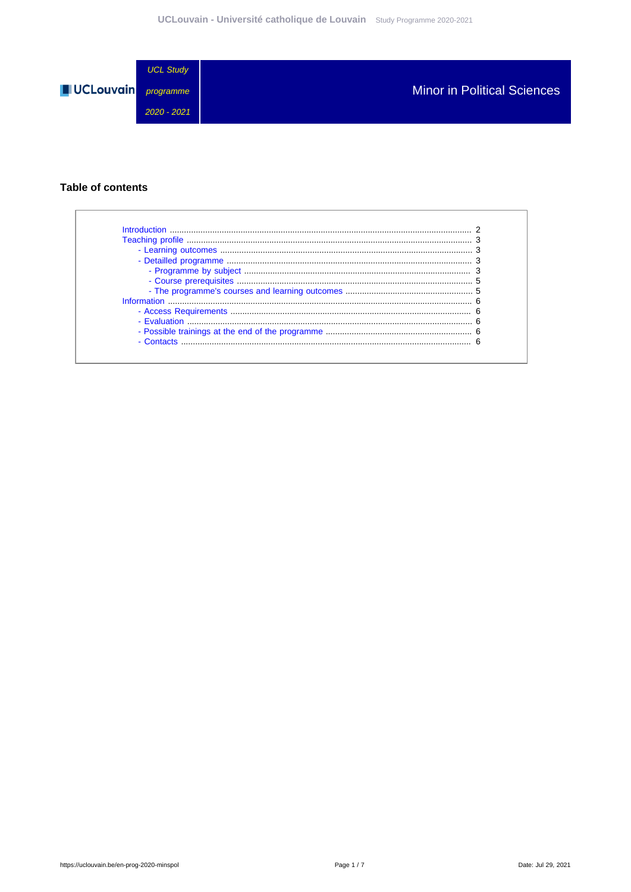

### **Table of contents**

| Introduction |  |
|--------------|--|
|              |  |
|              |  |
|              |  |
|              |  |
|              |  |
|              |  |
| Information  |  |
|              |  |
|              |  |
|              |  |
| $-$ Contacts |  |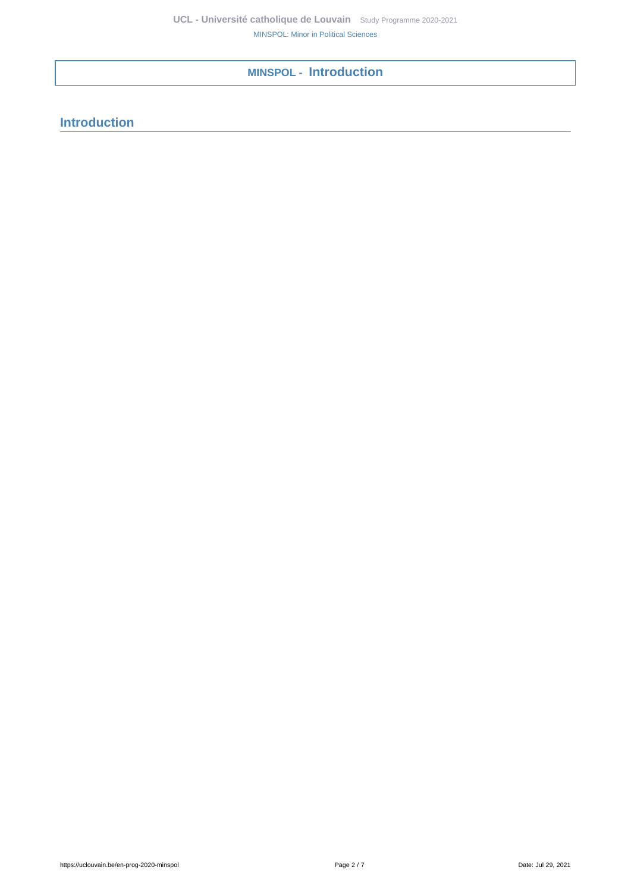<span id="page-1-0"></span>**MINSPOL - Introduction**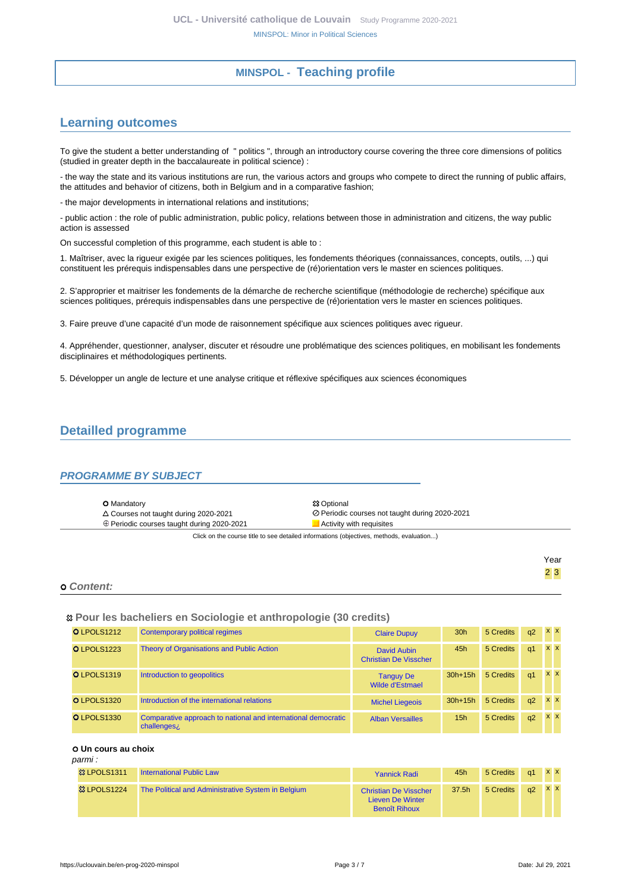# **MINSPOL - Teaching profile**

# <span id="page-2-1"></span><span id="page-2-0"></span>**Learning outcomes**

To give the student a better understanding of " politics ", through an introductory course covering the three core dimensions of politics (studied in greater depth in the baccalaureate in political science) :

- the way the state and its various institutions are run, the various actors and groups who compete to direct the running of public affairs, the attitudes and behavior of citizens, both in Belgium and in a comparative fashion;

- the major developments in international relations and institutions;

- public action : the role of public administration, public policy, relations between those in administration and citizens, the way public action is assessed

On successful completion of this programme, each student is able to :

1. Maîtriser, avec la rigueur exigée par les sciences politiques, les fondements théoriques (connaissances, concepts, outils, ...) qui constituent les prérequis indispensables dans une perspective de (ré)orientation vers le master en sciences politiques.

2. S'approprier et maitriser les fondements de la démarche de recherche scientifique (méthodologie de recherche) spécifique aux sciences politiques, prérequis indispensables dans une perspective de (ré)orientation vers le master en sciences politiques.

3. Faire preuve d'une capacité d'un mode de raisonnement spécifique aux sciences politiques avec rigueur.

4. Appréhender, questionner, analyser, discuter et résoudre une problématique des sciences politiques, en mobilisant les fondements disciplinaires et méthodologiques pertinents.

5. Développer un angle de lecture et une analyse critique et réflexive spécifiques aux sciences économiques

## <span id="page-2-2"></span>**Detailled programme**

#### <span id="page-2-3"></span>**PROGRAMME BY SUBJECT**

| <b>O</b> Mandatory                                                                       | <b>83 Optional</b>                             |  |  |  |  |
|------------------------------------------------------------------------------------------|------------------------------------------------|--|--|--|--|
| $\triangle$ Courses not taught during 2020-2021                                          | ⊘ Periodic courses not taught during 2020-2021 |  |  |  |  |
| ⊕ Periodic courses taught during 2020-2021                                               | Activity with requisites                       |  |  |  |  |
| Click on the course title to see detailed informations (objectives, methods, evaluation) |                                                |  |  |  |  |

|            | Year    |
|------------|---------|
|            | $2 \ 3$ |
| o Content: |         |

#### **Pour les bacheliers en Sociologie et anthropologie (30 credits)**

| O LPOLS1212 | Contemporary political regimes                                                           | <b>Claire Dupuy</b>                         | 30 <sub>h</sub> | 5 Credits | q2             | $X$ $X$    |
|-------------|------------------------------------------------------------------------------------------|---------------------------------------------|-----------------|-----------|----------------|------------|
| O LPOLS1223 | Theory of Organisations and Public Action                                                | David Aubin<br><b>Christian De Visscher</b> | 45h             | 5 Credits | q <sub>1</sub> | $X$ $X$    |
| O LPOLS1319 | Introduction to geopolitics                                                              | <b>Tanguy De</b><br>Wilde d'Estmael         | $30h+15h$       | 5 Credits | q <sub>1</sub> | <b>x x</b> |
| O LPOLS1320 | Introduction of the international relations                                              | <b>Michel Liegeois</b>                      | $30h+15h$       | 5 Credits | q2             | $x \times$ |
| O LPOLS1330 | Comparative approach to national and international democratic<br>challenges <sub>i</sub> | <b>Alban Versailles</b>                     | 15 <sub>h</sub> | 5 Credits | q2             | <b>x</b> x |

 **Un cours au choix**

#### parmi :

| 83 LPOLS1311            | <b>International Public Law</b>                    | <b>Yannick Radi</b>                                                      | 45h   | 5 Credits | $\alpha$ 1 | <b>XX</b> |
|-------------------------|----------------------------------------------------|--------------------------------------------------------------------------|-------|-----------|------------|-----------|
| <sup>83</sup> LPOLS1224 | The Political and Administrative System in Belgium | <b>Christian De Visscher</b><br>Lieven De Winter<br><b>Benoît Rihoux</b> | 37.5h | 5 Credits | a2         | <b>XX</b> |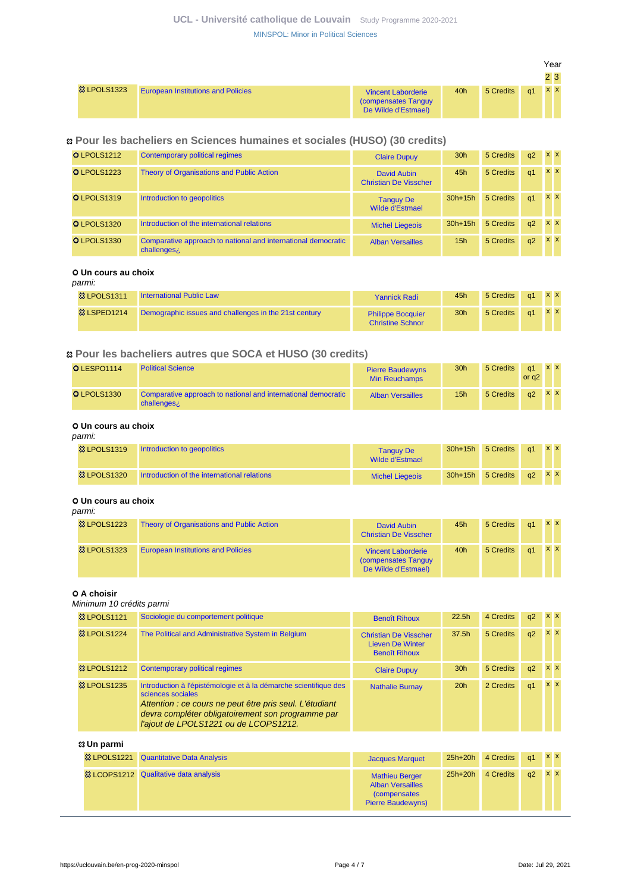## **UCL - Université catholique de Louvain** [Study Programme 2020-2021](https://uclouvain.be/en/study-programme) [MINSPOL: Minor in Political Sciences](https://uclouvain.be/en-prog-2020-minspol.html)

|                        |                                           |                                                                               |     |           |    | Year |                  |
|------------------------|-------------------------------------------|-------------------------------------------------------------------------------|-----|-----------|----|------|------------------|
|                        |                                           |                                                                               |     |           |    |      | $2\vert 3 \vert$ |
| <b>&amp; LPOLS1323</b> | <b>European Institutions and Policies</b> | <b>Vincent Laborderie</b><br><b>Compensates Tanguy</b><br>De Wilde d'Estmael) | 40h | 5 Credits | q1 | XX   |                  |

#### **Pour les bacheliers en Sciences humaines et sociales (HUSO) (30 credits)**

| O LPOLS1212        | Contemporary political regimes                                                           | <b>Claire Dupuy</b>                         | 30 <sub>h</sub> | 5 Credits | q2 | $x \times$ |
|--------------------|------------------------------------------------------------------------------------------|---------------------------------------------|-----------------|-----------|----|------------|
| O LPOLS1223        | <b>Theory of Organisations and Public Action</b>                                         | David Aubin<br><b>Christian De Visscher</b> | 45h             | 5 Credits | q1 | $x \times$ |
| O LPOLS1319        | Introduction to geopolitics                                                              | <b>Tanguy De</b><br>Wilde d'Estmael         | $30h+15h$       | 5 Credits | q1 | <b>x</b> x |
| O LPOLS1320        | Introduction of the international relations                                              | <b>Michel Liegeois</b>                      | $30h+15h$       | 5 Credits | q2 | <b>x x</b> |
| <b>O LPOLS1330</b> | Comparative approach to national and international democratic<br>challenges <sub>i</sub> | <b>Alban Versailles</b>                     | 15h             | 5 Credits | q2 | <b>x x</b> |

### **Un cours au choix**

#### parmi:

| 83 LPOLS1311 | <b>International Public Law</b>                       | <b>Yannick Radi</b>                                 | 45h             | 5 Credits   q1 X X |               |  |
|--------------|-------------------------------------------------------|-----------------------------------------------------|-----------------|--------------------|---------------|--|
| 83 LSPED1214 | Demographic issues and challenges in the 21st century | <b>Philippe Bocquier</b><br><b>Christine Schnor</b> | 30 <sub>h</sub> | 5 Credits          | $q1 \times X$ |  |

### **Pour les bacheliers autres que SOCA et HUSO (30 credits)**

| <b>O</b> LESPO1114 | <b>Political Science</b>                                                     | <b>Pierre Baudewyns</b><br><b>Min Reuchamps</b> | 30 <sub>h</sub> | 5 Credits | q1<br>or $a2$         | <b>XX</b> |  |
|--------------------|------------------------------------------------------------------------------|-------------------------------------------------|-----------------|-----------|-----------------------|-----------|--|
| O LPOLS1330        | Comparative approach to national and international democratic<br>challenges; | <b>Alban Versailles</b>                         | 15h             | 5 Credits | $\alpha$ <sup>2</sup> | <b>XX</b> |  |

#### **Un cours au choix** parmi:

| $\mu$ unu.             |                                             |                                     |           |           |               |         |  |
|------------------------|---------------------------------------------|-------------------------------------|-----------|-----------|---------------|---------|--|
| <b>&amp; LPOLS1319</b> | Introduction to geopolitics                 | <b>Tanguy De</b><br>Wilde d'Estmael | $30h+15h$ | 5 Credits | $\alpha$ 1    | $X$ $X$ |  |
| <b>&amp; LPOLS1320</b> | Introduction of the international relations | <b>Michel Liegeois</b>              | $30h+15h$ | 5 Credits | $q2 \times X$ |         |  |

#### **Un cours au choix** parmi:

| panni.                 |                                           |                                                                          |     |           |    |           |           |
|------------------------|-------------------------------------------|--------------------------------------------------------------------------|-----|-----------|----|-----------|-----------|
| <b>&amp; LPOLS1223</b> | Theory of Organisations and Public Action | David Aubin<br><b>Christian De Visscher</b>                              | 45h | 5 Credits | q1 | <b>XX</b> |           |
| <b>&amp; LPOLS1323</b> | <b>European Institutions and Policies</b> | <b>Vincent Laborderie</b><br>(compensates Tanguy)<br>De Wilde d'Estmael) | 40h | 5 Credits | a1 |           | <b>XX</b> |

#### **0 A choisir**

#### Minimum 10 crédits parmi

| <b>&amp; LPOLS1121</b> | Sociologie du comportement politique                                                                                                                                                                                                           | <b>Benoît Rihoux</b>                                                            | 22.5h           | 4 Credits | q2 | $X$ $X$    |
|------------------------|------------------------------------------------------------------------------------------------------------------------------------------------------------------------------------------------------------------------------------------------|---------------------------------------------------------------------------------|-----------------|-----------|----|------------|
| <b>83 LPOLS1224</b>    | The Political and Administrative System in Belgium                                                                                                                                                                                             | <b>Christian De Visscher</b><br><b>Lieven De Winter</b><br><b>Benoît Rihoux</b> | 37.5h           | 5 Credits | q2 | <b>x</b> x |
| <b>&amp; LPOLS1212</b> | Contemporary political regimes                                                                                                                                                                                                                 | <b>Claire Dupuy</b>                                                             | 30 <sub>h</sub> | 5 Credits | q2 | <b>XX</b>  |
| <b>&amp; LPOLS1235</b> | Introduction à l'épistémologie et à la démarche scientifique des<br>sciences sociales<br>Attention : ce cours ne peut être pris seul. L'étudiant<br>devra compléter obligatoirement son programme par<br>l'ajout de LPOLS1221 ou de LCOPS1212. | <b>Nathalie Burnay</b>                                                          | 20h             | 2 Credits | q1 | $X$ $X$    |

#### **Un parmi**

| <sup>33</sup> LPOLS1221 Quantitative Data Analysis | <b>Jacques Marquet</b>                                                                               |           | 25h+20h 4 Credits q1 X X |               |  |
|----------------------------------------------------|------------------------------------------------------------------------------------------------------|-----------|--------------------------|---------------|--|
| <sup>3</sup> & LCOPS1212 Qualitative data analysis | <b>Mathieu Berger</b><br><b>Alban Versailles</b><br><i>(compensates)</i><br><b>Pierre Baudewyns)</b> | $25h+20h$ | 4 Credits                | $q2 \times x$ |  |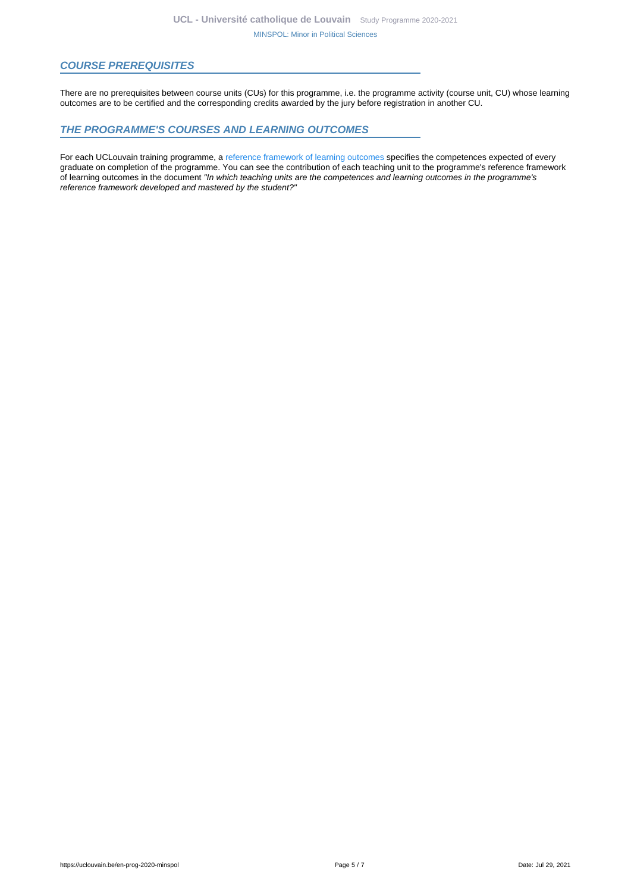#### <span id="page-4-0"></span>**COURSE PREREQUISITES**

There are no prerequisites between course units (CUs) for this programme, i.e. the programme activity (course unit, CU) whose learning outcomes are to be certified and the corresponding credits awarded by the jury before registration in another CU.

#### <span id="page-4-1"></span>**THE PROGRAMME'S COURSES AND LEARNING OUTCOMES**

For each UCLouvain training programme, a [reference framework of learning outcomes](https://uclouvain.be/en-prog-2020-minspol-competences_et_acquis.html) specifies the competences expected of every graduate on completion of the programme. You can see the contribution of each teaching unit to the programme's reference framework of learning outcomes in the document "In which teaching units are the competences and learning outcomes in the programme's reference framework developed and mastered by the student?"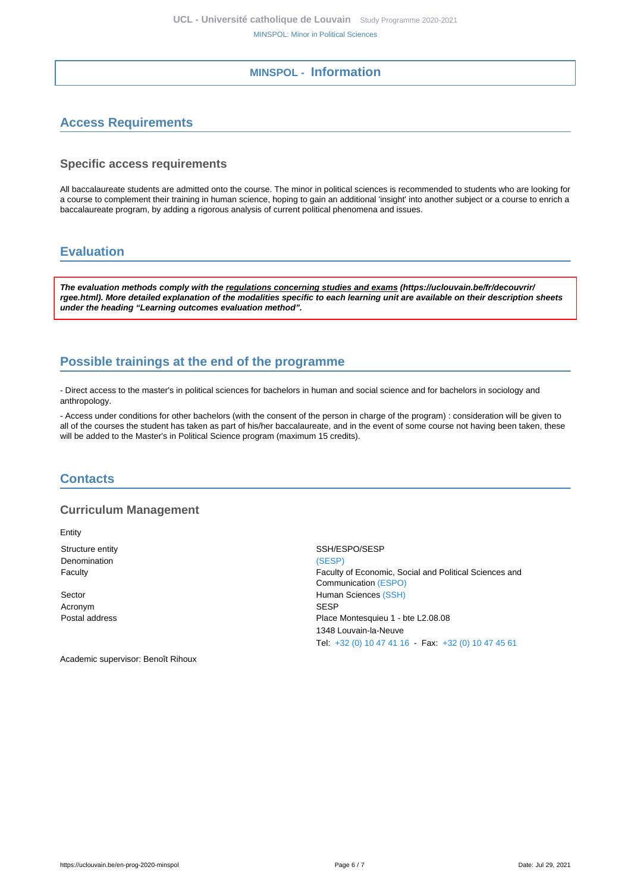## **MINSPOL - Information**

# <span id="page-5-1"></span><span id="page-5-0"></span>**Access Requirements**

#### **Specific access requirements**

All baccalaureate students are admitted onto the course. The minor in political sciences is recommended to students who are looking for a course to complement their training in human science, hoping to gain an additional 'insight' into another subject or a course to enrich a baccalaureate program, by adding a rigorous analysis of current political phenomena and issues.

# <span id="page-5-2"></span>**Evaluation**

**The evaluation methods comply with the regulations concerning studies and exams (https://uclouvain.be/fr/decouvrir/ rgee.html). More detailed explanation of the modalities specific to each learning unit are available on their description sheets under the heading "Learning outcomes evaluation method".**

# <span id="page-5-3"></span>**Possible trainings at the end of the programme**

- Direct access to the master's in political sciences for bachelors in human and social science and for bachelors in sociology and anthropology.

- Access under conditions for other bachelors (with the consent of the person in charge of the program) : consideration will be given to all of the courses the student has taken as part of his/her baccalaureate, and in the event of some course not having been taken, these will be added to the Master's in Political Science program (maximum 15 credits).

## <span id="page-5-4"></span>**Contacts**

### **Curriculum Management**

Entity Structure entity SSH/ESPO/SESP Denomination [\(SESP\)](https://uclouvain.be/repertoires/entites/sesp)

Acronym SESP

Faculty Faculty of Economic, Social and Political Sciences and Communication [\(ESPO\)](https://uclouvain.be/repertoires/entites/espo) Sector **Sector Human Sciences** [\(SSH\)](https://uclouvain.be/repertoires/entites/ssh) Postal address Place Montesquieu 1 - bte L2.08.08 1348 Louvain-la-Neuve Tel: [+32 \(0\) 10 47 41 16](https://uclouvain.be/tel:+3210474116) - Fax: [+32 \(0\) 10 47 45 61](https://uclouvain.be/tel:+3210474561)

Academic supervisor: Benoît Rihoux